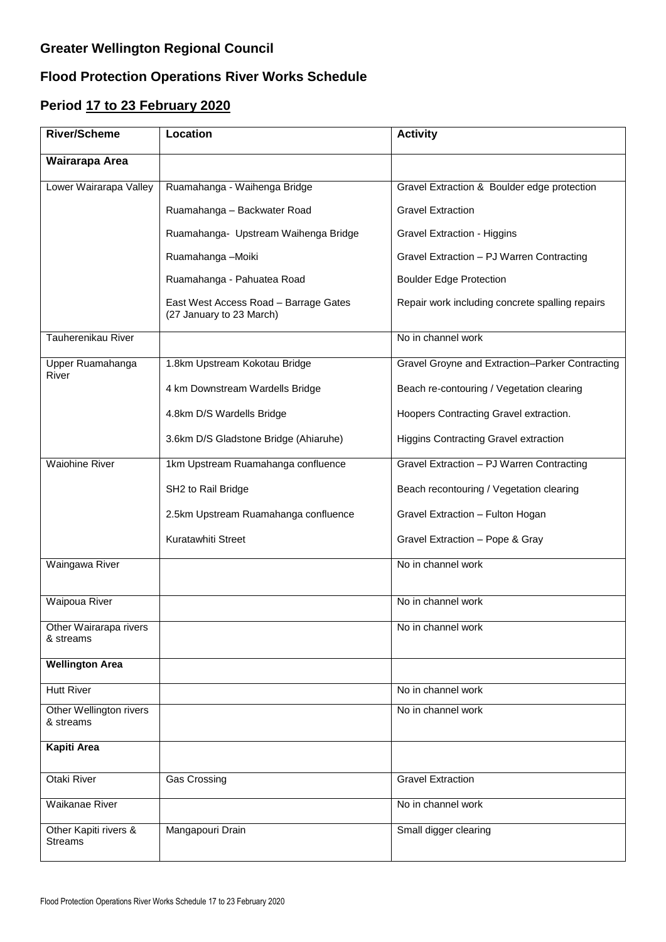## **Greater Wellington Regional Council**

## **Flood Protection Operations River Works Schedule**

## **Period 17 to 23 February 2020**

| <b>River/Scheme</b>                     | Location                                                          | <b>Activity</b>                                 |
|-----------------------------------------|-------------------------------------------------------------------|-------------------------------------------------|
| Wairarapa Area                          |                                                                   |                                                 |
| Lower Wairarapa Valley                  | Ruamahanga - Waihenga Bridge                                      | Gravel Extraction & Boulder edge protection     |
|                                         | Ruamahanga - Backwater Road                                       | <b>Gravel Extraction</b>                        |
|                                         | Ruamahanga- Upstream Waihenga Bridge                              | <b>Gravel Extraction - Higgins</b>              |
|                                         | Ruamahanga - Moiki                                                | Gravel Extraction - PJ Warren Contracting       |
|                                         | Ruamahanga - Pahuatea Road                                        | <b>Boulder Edge Protection</b>                  |
|                                         | East West Access Road - Barrage Gates<br>(27 January to 23 March) | Repair work including concrete spalling repairs |
| Tauherenikau River                      |                                                                   | No in channel work                              |
| Upper Ruamahanga<br>River               | 1.8km Upstream Kokotau Bridge                                     | Gravel Groyne and Extraction-Parker Contracting |
|                                         | 4 km Downstream Wardells Bridge                                   | Beach re-contouring / Vegetation clearing       |
|                                         | 4.8km D/S Wardells Bridge                                         | Hoopers Contracting Gravel extraction.          |
|                                         | 3.6km D/S Gladstone Bridge (Ahiaruhe)                             | <b>Higgins Contracting Gravel extraction</b>    |
| <b>Waiohine River</b>                   | 1km Upstream Ruamahanga confluence                                | Gravel Extraction - PJ Warren Contracting       |
|                                         | SH2 to Rail Bridge                                                | Beach recontouring / Vegetation clearing        |
|                                         | 2.5km Upstream Ruamahanga confluence                              | Gravel Extraction - Fulton Hogan                |
|                                         | Kuratawhiti Street                                                | Gravel Extraction - Pope & Gray                 |
| Waingawa River                          |                                                                   | No in channel work                              |
| Waipoua River                           |                                                                   | No in channel work                              |
| Other Wairarapa rivers<br>& streams     |                                                                   | No in channel work                              |
| <b>Wellington Area</b>                  |                                                                   |                                                 |
| <b>Hutt River</b>                       |                                                                   | No in channel work                              |
| Other Wellington rivers<br>& streams    |                                                                   | No in channel work                              |
| <b>Kapiti Area</b>                      |                                                                   |                                                 |
| Otaki River                             | Gas Crossing                                                      | <b>Gravel Extraction</b>                        |
| Waikanae River                          |                                                                   | No in channel work                              |
| Other Kapiti rivers &<br><b>Streams</b> | Mangapouri Drain                                                  | Small digger clearing                           |